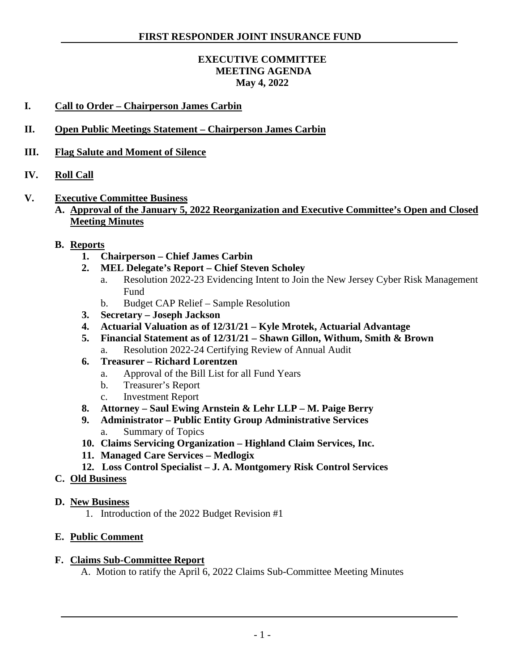### **EXECUTIVE COMMITTEE MEETING AGENDA May 4, 2022**

- **I. Call to Order – Chairperson James Carbin**
- **II. Open Public Meetings Statement – Chairperson James Carbin**
- **III. Flag Salute and Moment of Silence**
- **IV. Roll Call**
- **V. Executive Committee Business**
	- **A. Approval of the January 5, 2022 Reorganization and Executive Committee's Open and Closed Meeting Minutes**
	- **B. Reports**
		- **1. Chairperson – Chief James Carbin**
		- **2. MEL Delegate's Report – Chief Steven Scholey**
			- a. Resolution 2022-23 Evidencing Intent to Join the New Jersey Cyber Risk Management Fund
			- b. Budget CAP Relief Sample Resolution
		- **3. Secretary – Joseph Jackson**
		- **4. Actuarial Valuation as of 12/31/21 – Kyle Mrotek, Actuarial Advantage**
		- **5. Financial Statement as of 12/31/21 – Shawn Gillon, Withum, Smith & Brown** a. Resolution 2022-24 Certifying Review of Annual Audit
		- **6. Treasurer – Richard Lorentzen**
			- a. Approval of the Bill List for all Fund Years
			- b. Treasurer's Report
			- c. Investment Report
		- **8. Attorney – Saul Ewing Arnstein & Lehr LLP – M. Paige Berry**
		- **9. Administrator – Public Entity Group Administrative Services** a. Summary of Topics
		- **10. Claims Servicing Organization – Highland Claim Services, Inc.**
		- **11. Managed Care Services – Medlogix**
		- **12. Loss Control Specialist – J. A. Montgomery Risk Control Services**
	- **C. Old Business**
	- **D. New Business**
		- 1. Introduction of the 2022 Budget Revision #1
	- **E. Public Comment**

#### **F. Claims Sub-Committee Report**

A. Motion to ratify the April 6, 2022 Claims Sub-Committee Meeting Minutes